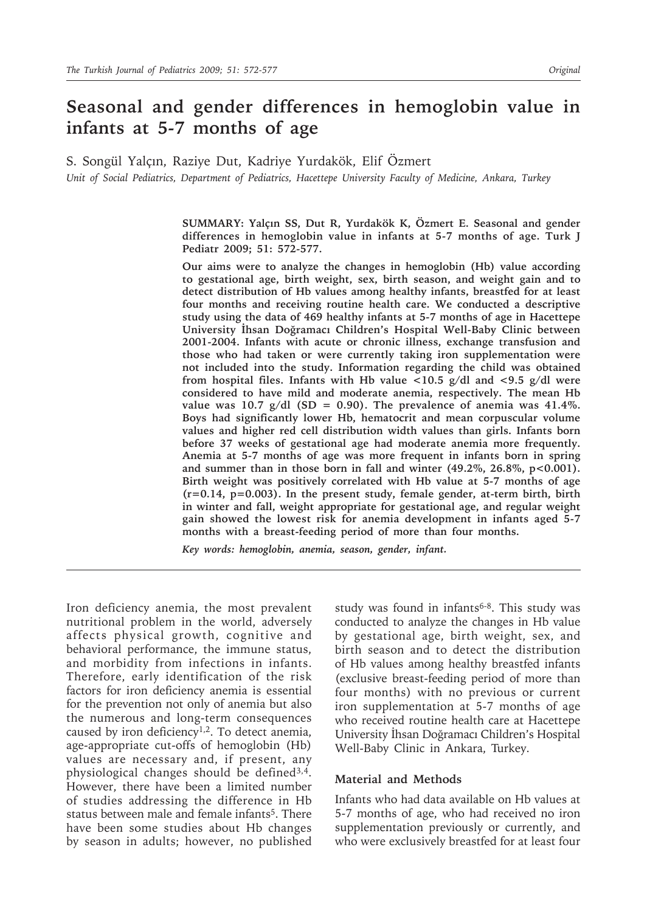# **Seasonal and gender differences in hemoglobin value in infants at 5-7 months of age**

S. Songül Yalçın, Raziye Dut, Kadriye Yurdakök, Elif Özmert *Unit of Social Pediatrics, Department of Pediatrics, Hacettepe University Faculty of Medicine, Ankara, Turkey* 

> **SUMMARY: Yalçın SS, Dut R, Yurdakök K, Özmert E. Seasonal and gender differences in hemoglobin value in infants at 5-7 months of age. Turk J Pediatr 2009; 51: 572-577.**

> **Our aims were to analyze the changes in hemoglobin (Hb) value according to gestational age, birth weight, sex, birth season, and weight gain and to detect distribution of Hb values among healthy infants, breastfed for at least four months and receiving routine health care. We conducted a descriptive study using the data of 469 healthy infants at 5-7 months of age in Hacettepe University İhsan Doğramacı Children's Hospital Well-Baby Clinic between 2001-2004. Infants with acute or chronic illness, exchange transfusion and those who had taken or were currently taking iron supplementation were not included into the study. Information regarding the child was obtained from hospital files. Infants with Hb value <10.5 g/dl and <9.5 g/dl were considered to have mild and moderate anemia, respectively. The mean Hb value was 10.7 g/dl (SD = 0.90). The prevalence of anemia was 41.4%. Boys had significantly lower Hb, hematocrit and mean corpuscular volume values and higher red cell distribution width values than girls. Infants born before 37 weeks of gestational age had moderate anemia more frequently. Anemia at 5-7 months of age was more frequent in infants born in spring**  and summer than in those born in fall and winter (49.2%, 26.8%, p<0.001). **Birth weight was positively correlated with Hb value at 5-7 months of age (r=0.14, p=0.003). In the present study, female gender, at-term birth, birth in winter and fall, weight appropriate for gestational age, and regular weight gain showed the lowest risk for anemia development in infants aged 5-7 months with a breast-feeding period of more than four months.**

*Key words: hemoglobin, anemia, season, gender, infant.*

Iron deficiency anemia, the most prevalent nutritional problem in the world, adversely affects physical growth, cognitive and behavioral performance, the immune status, and morbidity from infections in infants. Therefore, early identification of the risk factors for iron deficiency anemia is essential for the prevention not only of anemia but also the numerous and long-term consequences caused by iron deficiency1,2. To detect anemia, age-appropriate cut-offs of hemoglobin (Hb) values are necessary and, if present, any physiological changes should be defined3,4. However, there have been a limited number of studies addressing the difference in Hb status between male and female infants<sup>5</sup>. There have been some studies about Hb changes by season in adults; however, no published

study was found in infants<sup>6-8</sup>. This study was conducted to analyze the changes in Hb value by gestational age, birth weight, sex, and birth season and to detect the distribution of Hb values among healthy breastfed infants (exclusive breast-feeding period of more than four months) with no previous or current iron supplementation at 5-7 months of age who received routine health care at Hacettepe University İhsan Doğramacı Children's Hospital Well-Baby Clinic in Ankara, Turkey.

### **Material and Methods**

Infants who had data available on Hb values at 5-7 months of age, who had received no iron supplementation previously or currently, and who were exclusively breastfed for at least four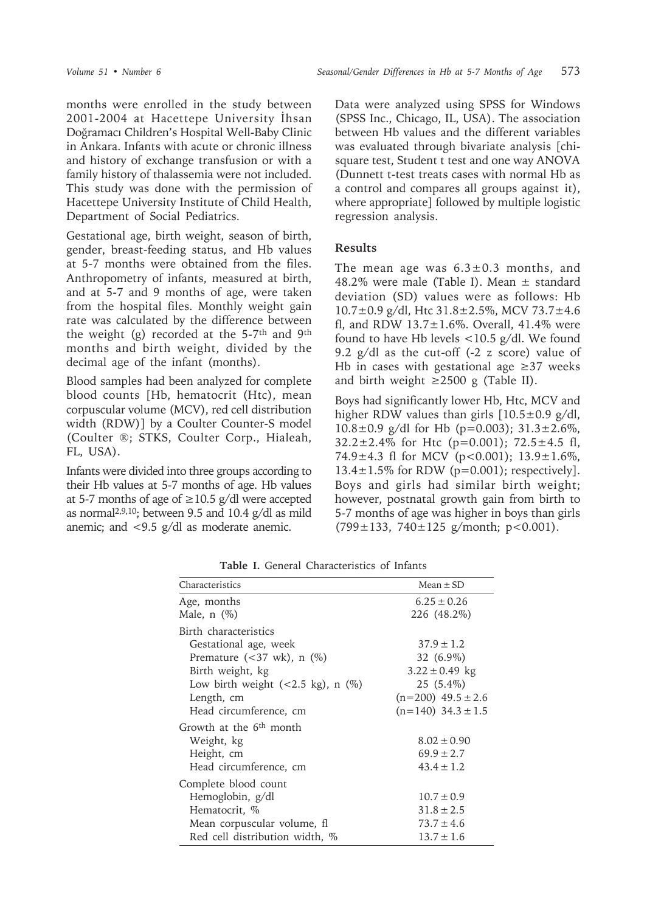months were enrolled in the study between 2001-2004 at Hacettepe University İhsan Doğramacı Children's Hospital Well-Baby Clinic in Ankara. Infants with acute or chronic illness and history of exchange transfusion or with a family history of thalassemia were not included. This study was done with the permission of Hacettepe University Institute of Child Health, Department of Social Pediatrics.

Gestational age, birth weight, season of birth, gender, breast-feeding status, and Hb values at 5-7 months were obtained from the files. Anthropometry of infants, measured at birth, and at 5-7 and 9 months of age, were taken from the hospital files. Monthly weight gain rate was calculated by the difference between the weight (g) recorded at the  $5-7$ <sup>th</sup> and  $9$ <sup>th</sup> months and birth weight, divided by the decimal age of the infant (months).

Blood samples had been analyzed for complete blood counts [Hb, hematocrit (Htc), mean corpuscular volume (MCV), red cell distribution width (RDW)] by a Coulter Counter-S model (Coulter ®; STKS, Coulter Corp., Hialeah, FL, USA).

Infants were divided into three groups according to their Hb values at 5-7 months of age. Hb values at 5-7 months of age of  $\geq$ 10.5 g/dl were accepted as normal<sup>2,9,10</sup>; between 9.5 and 10.4  $g/dl$  as mild anemic; and <9.5 g/dl as moderate anemic.

Data were analyzed using SPSS for Windows (SPSS Inc., Chicago, IL, USA). The association between Hb values and the different variables was evaluated through bivariate analysis [chisquare test, Student t test and one way ANOVA (Dunnett t-test treats cases with normal Hb as a control and compares all groups against it), where appropriate] followed by multiple logistic regression analysis.

# **Results**

The mean age was  $6.3 \pm 0.3$  months, and 48.2% were male (Table I). Mean ± standard deviation (SD) values were as follows: Hb 10.7±0.9 g/dl, Htc 31.8±2.5%, MCV 73.7±4.6 fl, and RDW  $13.7 \pm 1.6\%$ . Overall, 41.4% were found to have Hb levels <10.5 g/dl. We found 9.2 g/dl as the cut-off (-2 z score) value of Hb in cases with gestational age  $\geq$ 37 weeks and birth weight  $\geq$  2500 g (Table II).

Boys had significantly lower Hb, Htc, MCV and higher RDW values than girls  $[10.5 \pm 0.9 \text{ g/d}]$ , 10.8 $\pm$ 0.9 g/dl for Hb (p=0.003); 31.3 $\pm$ 2.6%,  $32.2 \pm 2.4\%$  for Htc (p=0.001);  $72.5 \pm 4.5$  fl, 74.9 $\pm$ 4.3 fl for MCV (p<0.001); 13.9 $\pm$ 1.6%,  $13.4 \pm 1.5\%$  for RDW (p=0.001); respectively]. Boys and girls had similar birth weight; however, postnatal growth gain from birth to 5-7 months of age was higher in boys than girls  $(799 \pm 133, 740 \pm 125 \text{ g/month}; \text{p} < 0.001).$ 

| Characteristics                                 | $Mean \pm SD$            |
|-------------------------------------------------|--------------------------|
| Age, months                                     | $6.25 \pm 0.26$          |
| Male, $n$ $(\%)$                                | 226 (48.2%)              |
| Birth characteristics                           |                          |
| Gestational age, week                           | $37.9 \pm 1.2$           |
| Premature $(<37$ wk), n $(\%)$                  | 32 (6.9%)                |
| Birth weight, kg                                | $3.22 \pm 0.49$ kg       |
| Low birth weight $(<2.5 \text{ kg})$ , n $(\%)$ | $25(5.4\%)$              |
| Length, cm                                      | $(n=200)$ 49.5 $\pm$ 2.6 |
| Head circumference, cm                          | $(n=140)$ 34.3 $\pm$ 1.5 |
| Growth at the 6 <sup>th</sup> month             |                          |
| Weight, kg                                      | $8.02 \pm 0.90$          |
| Height, cm                                      | $69.9 \pm 2.7$           |
| Head circumference, cm                          | $43.4 \pm 1.2$           |
| Complete blood count                            |                          |
| Hemoglobin, g/dl                                | $10.7 \pm 0.9$           |
| Hematocrit, %                                   | $31.8 \pm 2.5$           |
| Mean corpuscular volume, fl                     | $73.7 \pm 4.6$           |
| Red cell distribution width, %                  | $13.7 \pm 1.6$           |

**Table I.** General Characteristics of Infants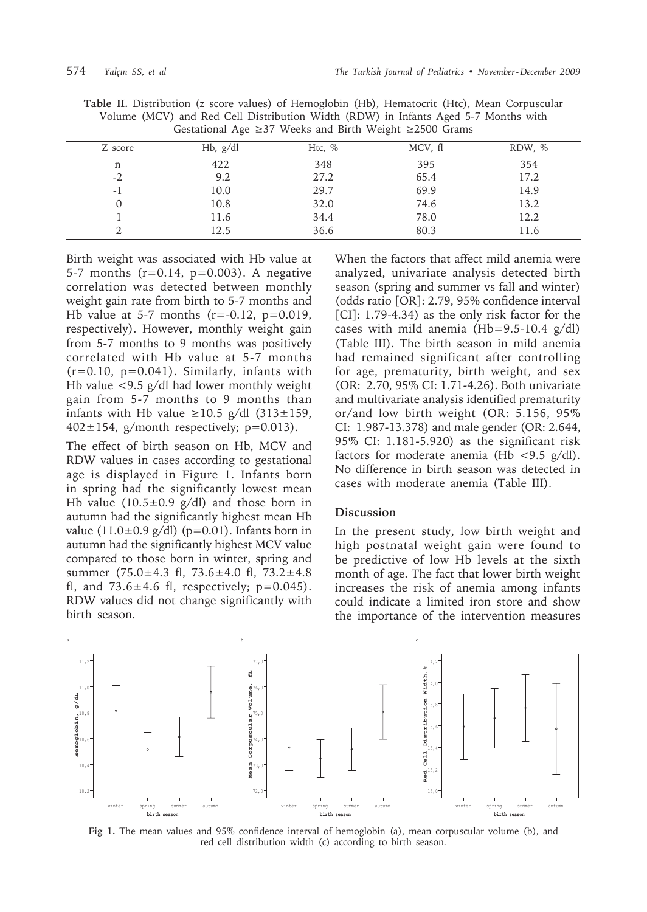| Z score | Hb, $g/dl$ | Htc, $\%$ | MCV, fl | RDW, % |
|---------|------------|-----------|---------|--------|
| n       | 422        | 348       | 395     | 354    |
| $-2$    | 9.2        | 27.2      | 65.4    | 17.2   |
| -1      | 10.0       | 29.7      | 69.9    | 14.9   |
|         | 10.8       | 32.0      | 74.6    | 13.2   |
|         | 11.6       | 34.4      | 78.0    | 12.2   |
|         | 12.5       | 36.6      | 80.3    | 11.6   |

**Table II.** Distribution (z score values) of Hemoglobin (Hb), Hematocrit (Htc), Mean Corpuscular Volume (MCV) and Red Cell Distribution Width (RDW) in Infants Aged 5-7 Months with

Birth weight was associated with Hb value at 5-7 months (r=0.14, p=0.003). A negative correlation was detected between monthly weight gain rate from birth to 5-7 months and Hb value at 5-7 months  $(r = -0.12, p = 0.019,$ respectively). However, monthly weight gain from 5-7 months to 9 months was positively correlated with Hb value at 5-7 months  $(r=0.10, p=0.041)$ . Similarly, infants with Hb value <9.5 g/dl had lower monthly weight gain from 5-7 months to 9 months than infants with Hb value ≥10.5 g/dl  $(313±159,$  $402 \pm 154$ , g/month respectively; p=0.013).

The effect of birth season on Hb, MCV and RDW values in cases according to gestational age is displayed in Figure 1. Infants born in spring had the significantly lowest mean Hb value  $(10.5\pm0.9 \text{ g/dl})$  and those born in autumn had the significantly highest mean Hb value  $(11.0\pm0.9 \text{ g/dl})$  (p=0.01). Infants born in autumn had the significantly highest MCV value compared to those born in winter, spring and summer (75.0±4.3 fl, 73.6±4.0 fl, 73.2±4.8 fl, and  $73.6 \pm 4.6$  fl, respectively;  $p=0.045$ ). RDW values did not change significantly with birth season.

When the factors that affect mild anemia were analyzed, univariate analysis detected birth season (spring and summer vs fall and winter) (odds ratio [OR]: 2.79, 95% confidence interval [CI]: 1.79-4.34) as the only risk factor for the cases with mild anemia (Hb=9.5-10.4 g/dl) (Table III). The birth season in mild anemia had remained significant after controlling for age, prematurity, birth weight, and sex (OR: 2.70, 95% CI: 1.71-4.26). Both univariate and multivariate analysis identified prematurity or/and low birth weight (OR: 5.156, 95% CI: 1.987-13.378) and male gender (OR: 2.644, 95% CI: 1.181-5.920) as the significant risk factors for moderate anemia (Hb  $\langle 9.5 \text{ g/d} \rangle$ ). No difference in birth season was detected in cases with moderate anemia (Table III).

## **Discussion**

In the present study, low birth weight and high postnatal weight gain were found to be predictive of low Hb levels at the sixth month of age. The fact that lower birth weight increases the risk of anemia among infants could indicate a limited iron store and show the importance of the intervention measures



**Fig 1.** The mean values and 95% confidence interval of hemoglobin (a), mean corpuscular volume (b), and red cell distribution width (c) according to birth season.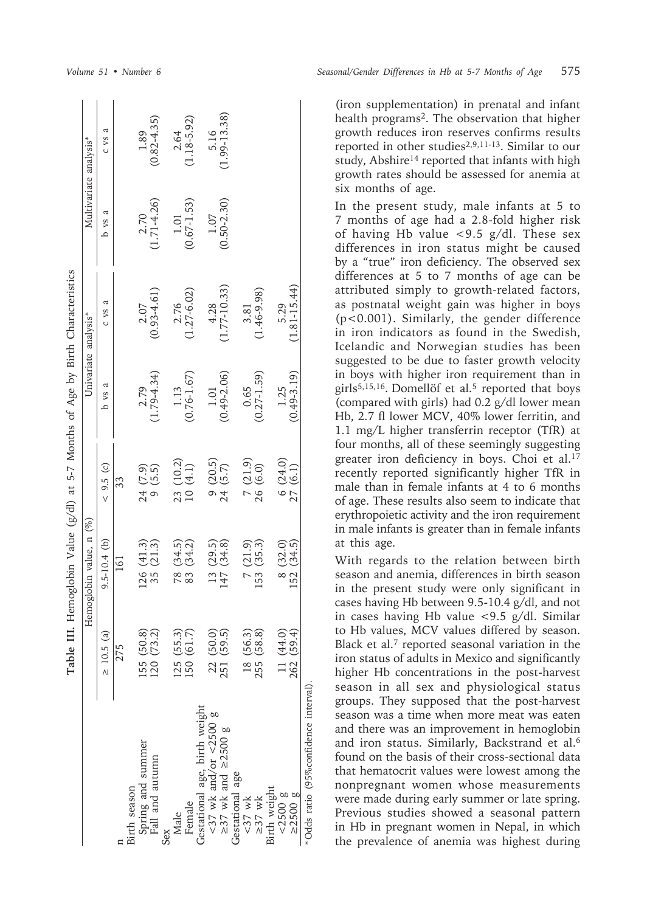|                                                        | Table III.               | Hemoglobin Value (g/dl) at 5-7 Months of Age by Birth Characteristics |                                                         |                       |                        |                       |                        |
|--------------------------------------------------------|--------------------------|-----------------------------------------------------------------------|---------------------------------------------------------|-----------------------|------------------------|-----------------------|------------------------|
|                                                        |                          | Hemoglobin value, n (%)                                               |                                                         |                       | Univariate analysis*   |                       | Multivariate analysis* |
|                                                        | $\geq 10.5$ (a)          | $9.5 - 10.4$ (b)                                                      | $< 9.5$ (c)                                             | ದ<br>p vs             | ದ<br>C VS              | a<br>p vs             | ದ<br>C VS              |
|                                                        | 275                      | 161                                                                   | 33                                                      |                       |                        |                       |                        |
| Birth season                                           |                          |                                                                       |                                                         |                       |                        |                       |                        |
| Spring and summer                                      |                          |                                                                       |                                                         |                       | 2.07                   |                       | 1.89                   |
| Fall and autumn                                        | 155 (50.8)<br>120 (73.2) | $126(41.3)$<br>35 $(21.3)$                                            | $24(7.9)$<br>9 (5.5)                                    | $2.79$<br>(1.79-4.34) | $(0.93 - 4.61)$        | $2.70$<br>(1.71-4.26) | $(0.82 - 4.35)$        |
| Sex                                                    |                          |                                                                       |                                                         |                       |                        |                       |                        |
| Male                                                   | (25 (55.3))              |                                                                       | (10.2)<br>$\frac{23}{3}$                                | $1.13$                | 2.76                   | 1.01                  | 2.64                   |
| Female                                                 | 150 (61.7)               | 78 (34.5)<br>83 (34.2)                                                | (4.1)<br>10 <sub>1</sub>                                | $(0.76 - 1.67)$       | $1.27 - 6.02$          | $(0.67 - 1.53)$       | $(1.18 - 5.92)$        |
|                                                        |                          |                                                                       |                                                         |                       |                        |                       |                        |
| Gestational age, birth weight<br><37 wk and/or <2500 g | 22 (50.0)                | $\frac{13}{147}$                                                      | 9(20.5)                                                 | $1.01$                |                        | 1.07                  | 5.16                   |
| $\geq$ 37 wk and $\geq$ 2500 g                         | 251 (59.5)               | $(29.5)$<br>$(34.8)$                                                  | 24(5.7)                                                 | $(0.49 - 2.06)$       | $4.28$<br>(1.77-10.33) | $(0.50 - 2.30)$       | $(1.99 - 13.38)$       |
| Gestational age                                        |                          |                                                                       |                                                         |                       |                        |                       |                        |
| $<37$ wk                                               | 18 (56.3)                |                                                                       |                                                         | 0.65                  | 3.81                   |                       |                        |
| $\geq$ 37 wk                                           | 255 (58.8)               | $\begin{array}{c} 7 (21.9) \\ 153 (35.3) \end{array}$                 | $\begin{array}{c} 7 \ (21.9) \\ 26 \ (6.0) \end{array}$ | $(0.27 - 1.59)$       | $1.46 - 9.98$          |                       |                        |
| Birth weight                                           |                          |                                                                       |                                                         |                       |                        |                       |                        |
|                                                        | 11 (44.0)                | $\begin{array}{c} 8 & (32.0) \\ 152 & (34.5) \end{array}$             |                                                         | 1.25                  | 5.29                   |                       |                        |
| $< 2500$ g<br>$\ge 2500$ g                             | 262 (59.4)               |                                                                       | $6(24.0)$<br>$27(6.1)$                                  | $(0.49 - 3.19)$       | $(1.81 - 15.44)$       |                       |                        |
| * Odds ratio (95%confidence interval).                 |                          |                                                                       |                                                         |                       |                        |                       |                        |

(iron supplementation) in prenatal and infant health programs2. The observation that higher growth reduces iron reserves confirms results reported in other studies2,9,11-13. Similar to our study, Abshire<sup>14</sup> reported that infants with high growth rates should be assessed for anemia at six months of age.

In the present study, male infants at 5 to 7 months of age had a 2.8-fold higher risk of having Hb value <9.5 g/dl. These sex differences in iron status might be caused by a "true" iron deficiency. The observed sex differences at 5 to 7 months of age can be attributed simply to growth-related factors, as postnatal weight gain was higher in boys (p<0.001). Similarly, the gender difference in iron indicators as found in the Swedish, Icelandic and Norwegian studies has been suggested to be due to faster growth velocity in boys with higher iron requirement than in girls $5,15,16$ . Domellöf et al.<sup>5</sup> reported that boys (compared with girls) had 0.2 g/dl lower mean Hb, 2.7 fl lower MCV, 40% lower ferritin, and 1.1 mg/L higher transferrin receptor (TfR) at four months, all of these seemingly suggesting greater iron deficiency in boys. Choi et al.17 recently reported significantly higher TfR in male than in female infants at 4 to 6 months of age. These results also seem to indicate that erythropoietic activity and the iron requirement in male infants is greater than in female infants at this age.

With regards to the relation between birth season and anemia, differences in birth season in the present study were only significant in cases having Hb between 9.5-10.4 g/dl, and not in cases having Hb value <9.5 g/dl. Similar to Hb values, MCV values differed by season. Black et al.7 reported seasonal variation in the iron status of adults in Mexico and significantly higher Hb concentrations in the post-harvest season in all sex and physiological status groups. They supposed that the post-harvest season was a time when more meat was eaten and there was an improvement in hemoglobin and iron status. Similarly, Backstrand et al.6 found on the basis of their cross-sectional data that hematocrit values were lowest among the nonpregnant women whose measurements were made during early summer or late spring. Previous studies showed a seasonal pattern in Hb in pregnant women in Nepal, in which the prevalence of anemia was highest during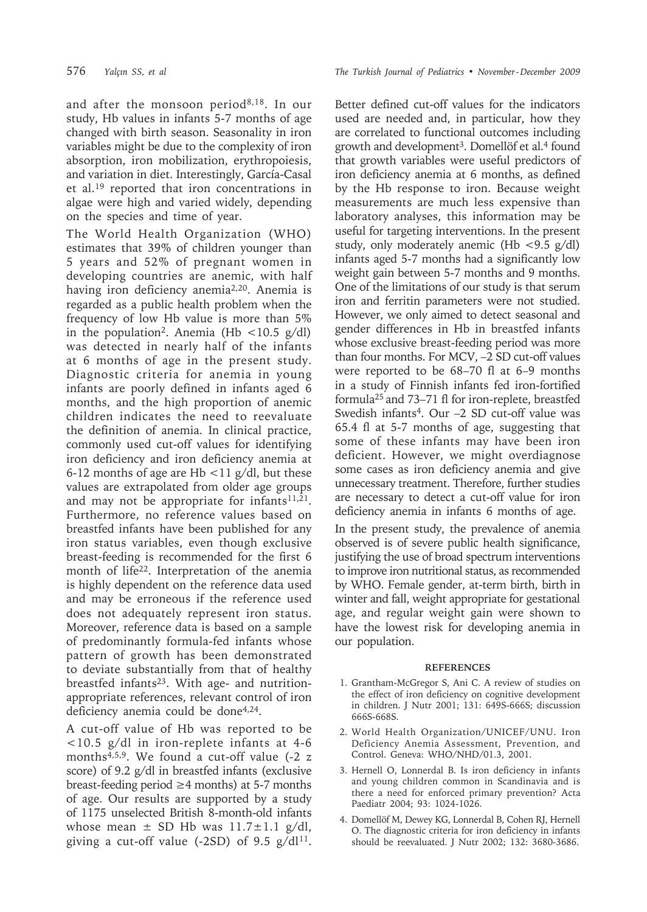and after the monsoon period8,18. In our study, Hb values in infants 5-7 months of age changed with birth season. Seasonality in iron variables might be due to the complexity of iron absorption, iron mobilization, erythropoiesis, and variation in diet. Interestingly, García-Casal et al.19 reported that iron concentrations in algae were high and varied widely, depending on the species and time of year.

The World Health Organization (WHO) estimates that 39% of children younger than 5 years and 52% of pregnant women in developing countries are anemic, with half having iron deficiency anemia<sup>2,20</sup>. Anemia is regarded as a public health problem when the frequency of low Hb value is more than 5% in the population<sup>2</sup>. Anemia (Hb <10.5 g/dl) was detected in nearly half of the infants at 6 months of age in the present study. Diagnostic criteria for anemia in young infants are poorly defined in infants aged 6 months, and the high proportion of anemic children indicates the need to reevaluate the definition of anemia. In clinical practice, commonly used cut-off values for identifying iron deficiency and iron deficiency anemia at 6-12 months of age are Hb  $\lt$ 11 g/dl, but these values are extrapolated from older age groups and may not be appropriate for infants<sup>11,21</sup>. Furthermore, no reference values based on breastfed infants have been published for any iron status variables, even though exclusive breast-feeding is recommended for the first 6 month of life<sup>22</sup>. Interpretation of the anemia is highly dependent on the reference data used and may be erroneous if the reference used does not adequately represent iron status. Moreover, reference data is based on a sample of predominantly formula-fed infants whose pattern of growth has been demonstrated to deviate substantially from that of healthy breastfed infants<sup>23</sup>. With age- and nutritionappropriate references, relevant control of iron deficiency anemia could be done $4,24$ .

A cut-off value of Hb was reported to be <10.5 g/dl in iron-replete infants at 4-6 months<sup>4,5,9</sup>. We found a cut-off value  $(-2)$  z score) of 9.2 g/dl in breastfed infants (exclusive breast-feeding period ≥4 months) at 5-7 months of age. Our results are supported by a study of 1175 unselected British 8-month-old infants whose mean  $\pm$  SD Hb was  $11.7 \pm 1.1$  g/dl, giving a cut-off value (-2SD) of  $9.5 \text{ g/d}$ <sup>11</sup>.

576 *Yalçın SS, et al The Turkish Journal of Pediatrics • November - December 2009*

Better defined cut-off values for the indicators used are needed and, in particular, how they are correlated to functional outcomes including growth and development3. Domellöf et al.4 found that growth variables were useful predictors of iron deficiency anemia at 6 months, as defined by the Hb response to iron. Because weight measurements are much less expensive than laboratory analyses, this information may be useful for targeting interventions. In the present study, only moderately anemic (Hb  $\langle 9.5 \text{ g/dl} \rangle$ infants aged 5-7 months had a significantly low weight gain between 5-7 months and 9 months. One of the limitations of our study is that serum iron and ferritin parameters were not studied. However, we only aimed to detect seasonal and gender differences in Hb in breastfed infants whose exclusive breast-feeding period was more than four months. For MCV, –2 SD cut-off values were reported to be 68–70 fl at 6–9 months in a study of Finnish infants fed iron-fortified formula25 and 73–71 fl for iron-replete, breastfed Swedish infants<sup>4</sup>. Our -2 SD cut-off value was 65.4 fl at 5-7 months of age, suggesting that some of these infants may have been iron deficient. However, we might overdiagnose some cases as iron deficiency anemia and give unnecessary treatment. Therefore, further studies are necessary to detect a cut-off value for iron deficiency anemia in infants 6 months of age.

In the present study, the prevalence of anemia observed is of severe public health significance, justifying the use of broad spectrum interventions to improve iron nutritional status, as recommended by WHO. Female gender, at-term birth, birth in winter and fall, weight appropriate for gestational age, and regular weight gain were shown to have the lowest risk for developing anemia in our population.

#### **REFERENCES**

- 1. Grantham-McGregor S, Ani C. A review of studies on the effect of iron deficiency on cognitive development in children. J Nutr 2001; 131: 649S-666S; discussion 666S-668S.
- 2. World Health Organization/UNICEF/UNU. Iron Deficiency Anemia Assessment, Prevention, and Control. Geneva: WHO/NHD/01.3, 2001.
- 3. Hernell O, Lonnerdal B. Is iron deficiency in infants and young children common in Scandinavia and is there a need for enforced primary prevention? Acta Paediatr 2004; 93: 1024-1026.
- 4. Domellöf M, Dewey KG, Lonnerdal B, Cohen RJ, Hernell O. The diagnostic criteria for iron deficiency in infants should be reevaluated. J Nutr 2002; 132: 3680-3686.